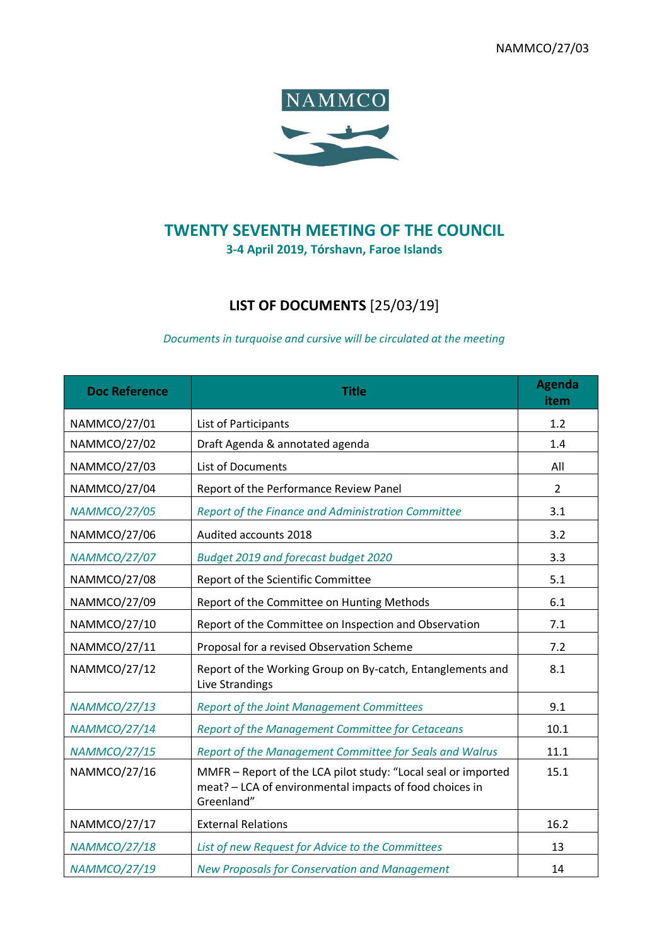NAMMCO/27/03



## **TWENTY SEVENTH MEETING OF THE COUNCIL 3-4 April 2019, Tórshavn, Faroe Islands**

## **LIST OF DOCUMENTS** [25/03/19]

## *Documents in turquoise and cursive will be circulated at the meeting*

| <b>Doc Reference</b> | <b>Title</b>                                                                                                                           | <b>Agenda</b><br>item |
|----------------------|----------------------------------------------------------------------------------------------------------------------------------------|-----------------------|
| NAMMCO/27/01         | List of Participants                                                                                                                   | 1.2                   |
| NAMMCO/27/02         | Draft Agenda & annotated agenda                                                                                                        | 1.4                   |
| NAMMCO/27/03         | <b>List of Documents</b>                                                                                                               | All                   |
| NAMMCO/27/04         | Report of the Performance Review Panel                                                                                                 | $\overline{2}$        |
| <b>NAMMCO/27/05</b>  | Report of the Finance and Administration Committee                                                                                     | 3.1                   |
| NAMMCO/27/06         | Audited accounts 2018                                                                                                                  | 3.2                   |
| <b>NAMMCO/27/07</b>  | Budget 2019 and forecast budget 2020                                                                                                   | 3.3                   |
| <b>NAMMCO/27/08</b>  | Report of the Scientific Committee                                                                                                     | 5.1                   |
| NAMMCO/27/09         | Report of the Committee on Hunting Methods                                                                                             | 6.1                   |
| NAMMCO/27/10         | Report of the Committee on Inspection and Observation                                                                                  | 7.1                   |
| NAMMCO/27/11         | Proposal for a revised Observation Scheme                                                                                              | 7.2                   |
| <b>NAMMCO/27/12</b>  | Report of the Working Group on By-catch, Entanglements and<br>Live Strandings                                                          | 8.1                   |
| <b>NAMMCO/27/13</b>  | <b>Report of the Joint Management Committees</b>                                                                                       | 9.1                   |
| <b>NAMMCO/27/14</b>  | Report of the Management Committee for Cetaceans                                                                                       | 10.1                  |
| <b>NAMMCO/27/15</b>  | Report of the Management Committee for Seals and Walrus                                                                                | 11.1                  |
| NAMMCO/27/16         | MMFR - Report of the LCA pilot study: "Local seal or imported<br>meat? - LCA of environmental impacts of food choices in<br>Greenland" | 15.1                  |
| NAMMCO/27/17         | <b>External Relations</b>                                                                                                              | 16.2                  |
| <b>NAMMCO/27/18</b>  | List of new Request for Advice to the Committees                                                                                       | 13                    |
| <b>NAMMCO/27/19</b>  | New Proposals for Conservation and Management                                                                                          | 14                    |